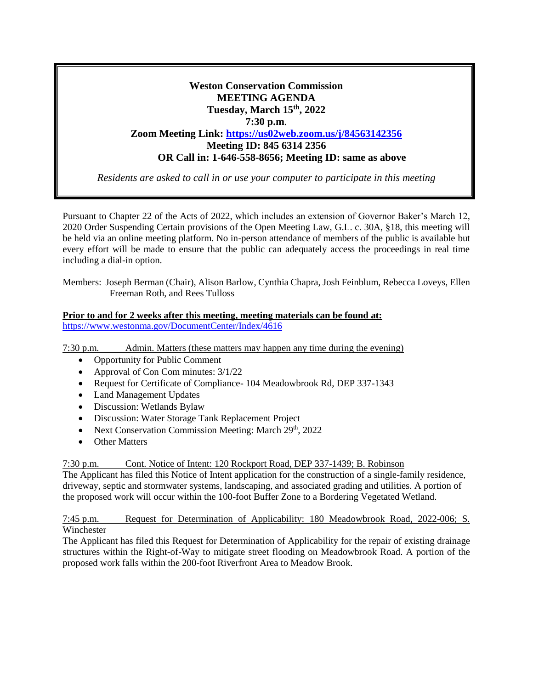# **Weston Conservation Commission MEETING AGENDA Tuesday, March 15th, 2022 7:30 p.m**. **Zoom Meeting Link: <https://us02web.zoom.us/j/84563142356> Meeting ID: 845 6314 2356 OR Call in: 1-646-558-8656; Meeting ID: same as above**

*Residents are asked to call in or use your computer to participate in this meeting*

Pursuant to Chapter 22 of the Acts of 2022, which includes an extension of Governor Baker's March 12, 2020 Order Suspending Certain provisions of the Open Meeting Law, G.L. c. 30A, §18, this meeting will be held via an online meeting platform. No in-person attendance of members of the public is available but every effort will be made to ensure that the public can adequately access the proceedings in real time including a dial-in option.

Members: Joseph Berman (Chair), Alison Barlow, Cynthia Chapra, Josh Feinblum, Rebecca Loveys, Ellen Freeman Roth, and Rees Tulloss

#### **Prior to and for 2 weeks after this meeting, meeting materials can be found at:** <https://www.westonma.gov/DocumentCenter/Index/4616>

7:30 p.m. Admin. Matters (these matters may happen any time during the evening)

- Opportunity for Public Comment
- Approval of Con Com minutes:  $3/1/22$
- Request for Certificate of Compliance- 104 Meadowbrook Rd, DEP 337-1343
- Land Management Updates
- Discussion: Wetlands Bylaw
- Discussion: Water Storage Tank Replacement Project
- Next Conservation Commission Meeting: March 29<sup>th</sup>, 2022
- Other Matters

7:30 p.m. Cont. Notice of Intent: 120 Rockport Road, DEP 337-1439; B. Robinson

The Applicant has filed this Notice of Intent application for the construction of a single-family residence, driveway, septic and stormwater systems, landscaping, and associated grading and utilities. A portion of the proposed work will occur within the 100-foot Buffer Zone to a Bordering Vegetated Wetland.

7:45 p.m. Request for Determination of Applicability: 180 Meadowbrook Road, 2022-006; S. Winchester

The Applicant has filed this Request for Determination of Applicability for the repair of existing drainage structures within the Right-of-Way to mitigate street flooding on Meadowbrook Road. A portion of the proposed work falls within the 200-foot Riverfront Area to Meadow Brook.